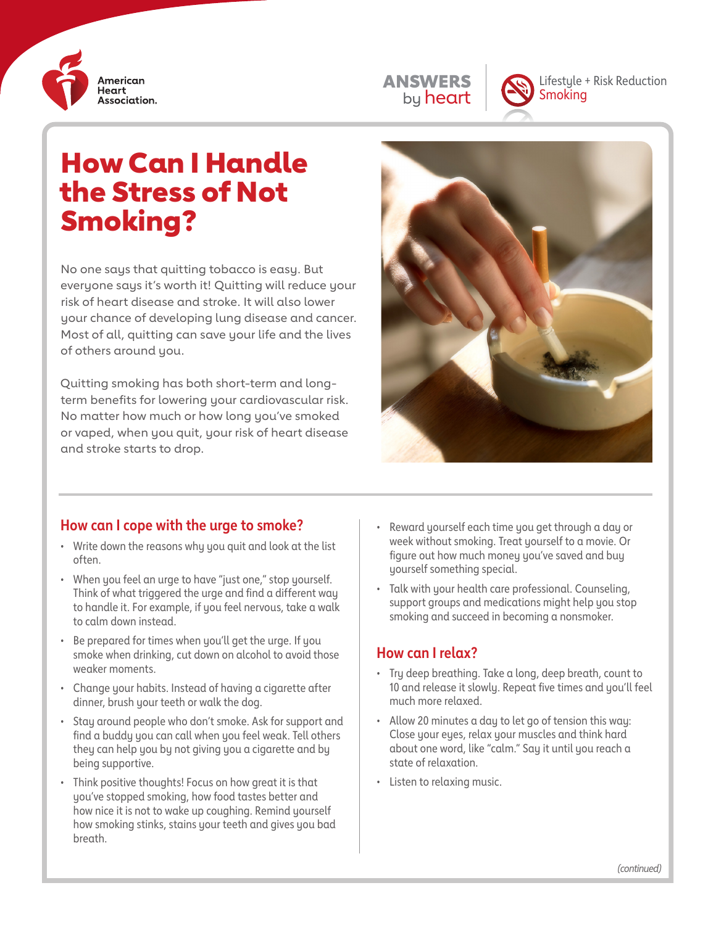





Lifestyle + Risk Reduction Smoking

# How Can I Handle the Stress of Not Smoking?

No one says that quitting tobacco is easy. But everyone says it's worth it! Quitting will reduce your risk of heart disease and stroke. It will also lower your chance of developing lung disease and cancer. Most of all, quitting can save your life and the lives of others around you.

Quitting smoking has both short-term and longterm benefits for lowering your cardiovascular risk. No matter how much or how long you've smoked or vaped, when you quit, your risk of heart disease and stroke starts to drop.



#### **How can I cope with the urge to smoke?**

- Write down the reasons why you quit and look at the list often.
- When you feel an urge to have "just one," stop yourself. Think of what triggered the urge and find a different way to handle it. For example, if you feel nervous, take a walk to calm down instead.
- Be prepared for times when you'll get the urge. If you smoke when drinking, cut down on alcohol to avoid those weaker moments.
- Change your habits. Instead of having a cigarette after dinner, brush your teeth or walk the dog.
- Stay around people who don't smoke. Ask for support and find a buddy you can call when you feel weak. Tell others they can help you by not giving you a cigarette and by being supportive.
- Think positive thoughts! Focus on how great it is that you've stopped smoking, how food tastes better and how nice it is not to wake up coughing. Remind yourself how smoking stinks, stains your teeth and gives you bad breath.
- Reward yourself each time you get through a day or week without smoking. Treat yourself to a movie. Or figure out how much money you've saved and buy yourself something special.
- Talk with your health care professional. Counseling, support groups and medications might help you stop smoking and succeed in becoming a nonsmoker.

#### **How can I relax?**

- Try deep breathing. Take a long, deep breath, count to 10 and release it slowly. Repeat five times and you'll feel much more relaxed.
- Allow 20 minutes a day to let go of tension this way: Close your eyes, relax your muscles and think hard about one word, like "calm." Say it until you reach a state of relaxation.
- Listen to relaxing music.